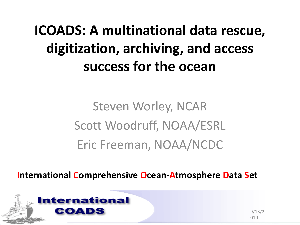## **ICOADS: A multinational data rescue, digitization, archiving, and access success for the ocean**

Steven Worley, NCAR Scott Woodruff, NOAA/ESRL Eric Freeman, NOAA/NCDC

**International Comprehensive Ocean-Atmosphere Data Set**



9/13/2 010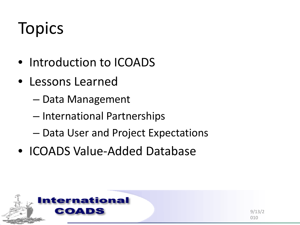# <span id="page-1-0"></span>**Topics**

- Introduction to ICOADS
- Lessons Learned
	- Data Management
	- International Partnerships
	- Data User and Project Expectations
- ICOADS Value-Added Database

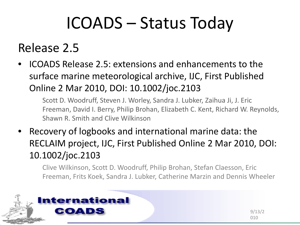# ICOADS – Status Today

## Release 2.5

• ICOADS Release 2.5: extensions and enhancements to the surface marine meteorological archive, IJC, First Published Online 2 Mar 2010, DOI: 10.1002/joc.2103

Scott D. Woodruff, Steven J. Worley, Sandra J. Lubker, Zaihua Ji, J. Eric Freeman, David I. Berry, Philip Brohan, Elizabeth C. Kent, Richard W. Reynolds, Shawn R. Smith and Clive Wilkinson

• Recovery of logbooks and international marine data: the RECLAIM project, IJC, First Published Online 2 Mar 2010, DOI: 10.1002/joc.2103

Clive Wilkinson, Scott D. Woodruff, Philip Brohan, Stefan Claesson, Eric Freeman, Frits Koek, Sandra J. Lubker, Catherine Marzin and Dennis Wheeler

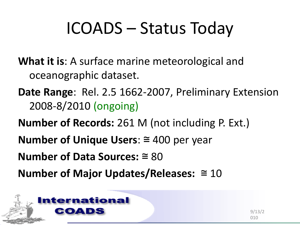# ICOADS – Status Today

- **What it is**: A surface marine meteorological and oceanographic dataset.
- **Date Range**: Rel. 2.5 1662-2007, Preliminary Extension 2008-8/2010 (ongoing)
- **Number of Records:** 261 M (not including P. Ext.)
- **Number of Unique Users**: ≅ 400 per year
- **Number of Data Sources:** ≅ 80
- **Number of Major Updates/Releases:** ≅ 10

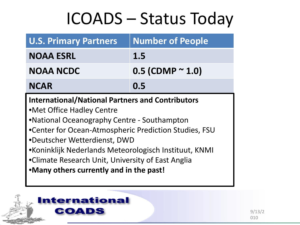# ICOADS – Status Today

| <b>U.S. Primary Partners</b>                                                                                                                                                                                                                                                                                                                                                          | <b>Number of People</b>    |
|---------------------------------------------------------------------------------------------------------------------------------------------------------------------------------------------------------------------------------------------------------------------------------------------------------------------------------------------------------------------------------------|----------------------------|
| <b>NOAA ESRL</b>                                                                                                                                                                                                                                                                                                                                                                      | 1.5                        |
| <b>NOAA NCDC</b>                                                                                                                                                                                                                                                                                                                                                                      | $0.5$ (CDMP $^{\sim}$ 1.0) |
| <b>NCAR</b>                                                                                                                                                                                                                                                                                                                                                                           | 0.5                        |
| <b>International/National Partners and Contributors</b><br>•Met Office Hadley Centre<br>.National Oceanography Centre - Southampton<br>•Center for Ocean-Atmospheric Prediction Studies, FSU<br>•Deutscher Wetterdienst, DWD<br>•Koninklijk Nederlands Meteorologisch Instituut, KNMI<br>•Climate Research Unit, University of East Anglia<br>•Many others currently and in the past! |                            |

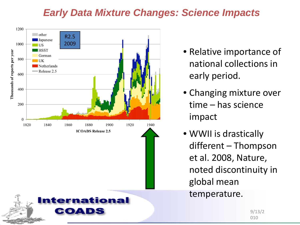#### *Early Data Mixture Changes: Science Impacts*



- Relative importance of national collections in early period.
- Changing mixture over time – has science impact
- WWII is drastically different – Thompson et al. 2008, Nature, noted discontinuity in global mean temperature.

9/13/2 010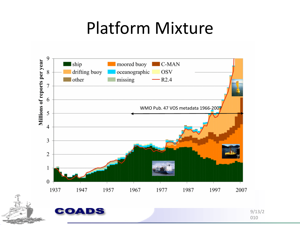## Platform Mixture

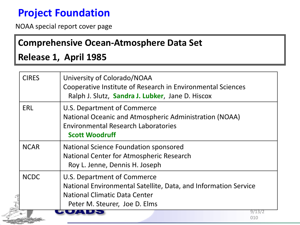## **Project Foundation**

NOAA special report cover page

#### **Comprehensive Ocean-Atmosphere Data Set**

#### **Release 1, April 1985**

| <b>CIRES</b> | University of Colorado/NOAA<br>Cooperative Institute of Research in Environmental Sciences<br>Ralph J. Slutz, Sandra J. Lubker, Jane D. Hiscox                   |
|--------------|------------------------------------------------------------------------------------------------------------------------------------------------------------------|
| ERL          | U.S. Department of Commerce<br>National Oceanic and Atmospheric Administration (NOAA)<br><b>Environmental Research Laboratories</b><br><b>Scott Woodruff</b>     |
| <b>NCAR</b>  | National Science Foundation sponsored<br>National Center for Atmospheric Research<br>Roy L. Jenne, Dennis H. Joseph                                              |
| <b>NCDC</b>  | U.S. Department of Commerce<br>National Environmental Satellite, Data, and Information Service<br>National Climatic Data Center<br>Peter M. Steurer, Joe D. Elms |
|              | 9/13/<br>010                                                                                                                                                     |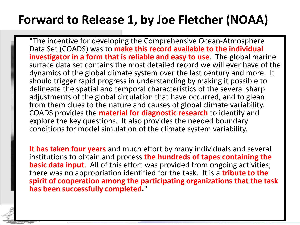## **Forward to Release 1, by Joe Fletcher (NOAA)**

**"**The incentive for developing the Comprehensive Ocean-Atmosphere Data Set (COADS) was to **make this record available to the individual investigator in a form that is reliable and easy to use**. The global marine surface data set contains the most detailed record we will ever have of the dynamics of the global climate system over the last century and more. It should trigger rapid progress in understanding by making it possible to delineate the spatial and temporal characteristics of the several sharp adjustments of the global circulation that have occurred, and to glean from them clues to the nature and causes of global climate variability. COADS provides the **material for diagnostic research** to identify and explore the key questions. It also provides the needed boundary conditions for model simulation of the climate system variability.

**It has taken four years** and much effort by many individuals and several institutions to obtain and process **the hundreds of tapes containing the basic data input**. All of this effort was provided from ongoing activities; there was no appropriation identified for the task. It is a **tribute to the spirit of cooperation among the participating organizations that the task has been successfully completed."**

01<br>101 - 101 - 101<br>101 - 101 - 101 - 101 - 101 - 101 - 101 - 101 - 101 - 101 - 101 - 101 - 101 - 101 - 101 - 101 - 101 - 101 - 1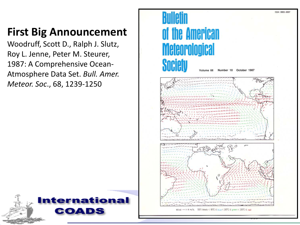## **First Big Announcement**

Woodruff, Scott D., Ralph J. Slutz, Roy L. Jenne, Peter M. Steurer, 1987: A Comprehensive Ocean-Atmosphere Data Set. *Bull. Amer. Meteor. Soc*., 68, 1239-1250



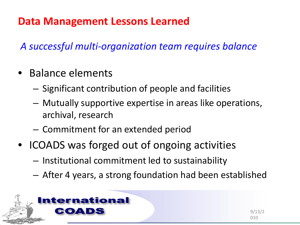### **Data Management Lessons Learned**

*A successful multi-organization team requires balance*

- Balance elements
	- Significant contribution of people and facilities
	- Mutually supportive expertise in areas like operations, archival, research
	- Commitment for an extended period
- ICOADS was forged out of ongoing activities
	- Institutional commitment led to sustainability
	- After 4 years, a strong foundation had been established

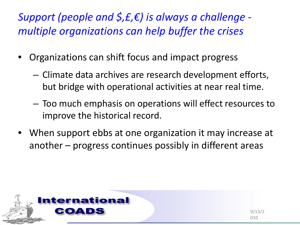*Support (people and \$,£,€) is always a challenge multiple organizations can help buffer the crises*

- Organizations can shift focus and impact progress
	- Climate data archives are research development efforts, but bridge with operational activities at near real time.
	- Too much emphasis on operations will effect resources to improve the historical record.
- When support ebbs at one organization it may increase at another – progress continues possibly in different areas

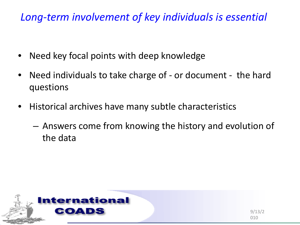### *Long-term involvement of key individuals is essential*

- Need key focal points with deep knowledge
- Need individuals to take charge of or document the hard questions
- Historical archives have many subtle characteristics
	- Answers come from knowing the history and evolution of the data

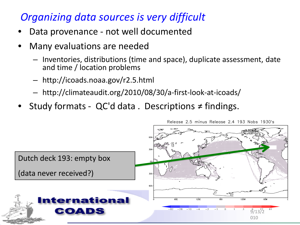### *Organizing data sources is very difficult*

- Data provenance not well documented
- Many evaluations are needed
	- Inventories, distributions (time and space), duplicate assessment, date and time / location problems
	- http://icoads.noaa.gov/r2.5.html
	- http://climateaudit.org/2010/08/30/a-first-look-at-icoads/
- Study formats QC'd data . Descriptions ≠ findings.

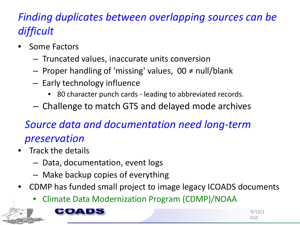## *Finding duplicates between overlapping sources can be difficult*

- Some Factors
	- Truncated values, inaccurate units conversion
	- Proper handling of 'missing' values, 00 ≠ null/blank
	- Early technology influence
		- 80 character punch cards leading to abbreviated records.
	- Challenge to match GTS and delayed mode archives

## *Source data and documentation need long-term preservation*

- Track the details
	- Data, documentation, event logs
	- Make backup copies of everything
- CDMP has funded small project to image legacy ICOADS documents
	- Climate Data Modernization Program (CDMP)/NOAA



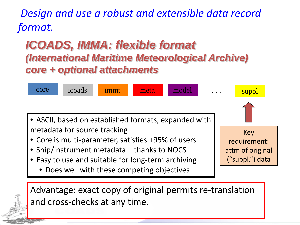*Design and use a robust and extensible data record format.*

## *ICOADS, IMMA: flexible format (International Maritime Meteorological Archive) core + optional attachments*



Advantage: exact copy of original permits re-translation and cross-checks at any time.

> 9/13/2 010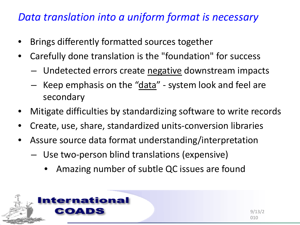#### *Data translation into a uniform format is necessary*

- Brings differently formatted sources together
- Carefully done translation is the "foundation" for success
	- Undetected errors create negative downstream impacts
	- Keep emphasis on the "data" system look and feel are secondary
- Mitigate difficulties by standardizing software to write records
- Create, use, share, standardized units-conversion libraries
- Assure source data format understanding/interpretation
	- Use two-person blind translations (expensive)
		- Amazing number of subtle QC issues are found

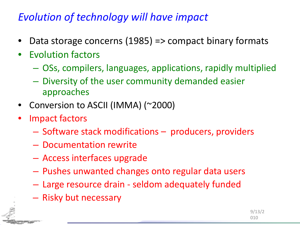### *Evolution of technology will have impact*

- Data storage concerns (1985) => compact binary formats
- Evolution factors
	- OSs, compilers, languages, applications, rapidly multiplied
	- Diversity of the user community demanded easier approaches
- Conversion to ASCII (IMMA) (~2000)
- Impact factors
	- Software stack modifications producers, providers
	- Documentation rewrite
	- Access interfaces upgrade
	- Pushes unwanted changes onto regular data users
	- Large resource drain seldom adequately funded
	- Risky but necessary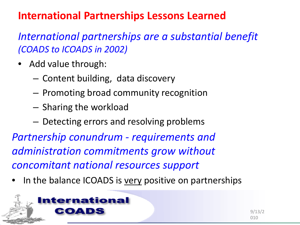### **International Partnerships Lessons Learned**

*International partnerships are a substantial benefit (COADS to ICOADS in 2002)*

- Add value through:
	- Content building, data discovery
	- Promoting broad community recognition
	- Sharing the workload
	- Detecting errors and resolving problems

*Partnership conundrum - requirements and administration commitments grow without concomitant national resources support*

In the balance ICOADS is very positive on partnerships

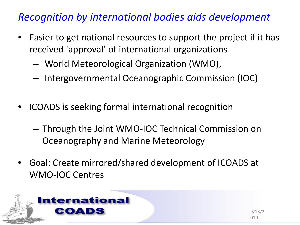### *Recognition by international bodies aids development*

- Easier to get national resources to support the project if it has received 'approval' of international organizations
	- World Meteorological Organization (WMO),
	- Intergovernmental Oceanographic Commission (IOC)
- ICOADS is seeking formal international recognition
	- Through the Joint WMO-IOC Technical Commission on Oceanography and Marine Meteorology
- Goal: Create mirrored/shared development of ICOADS at WMO-IOC Centres

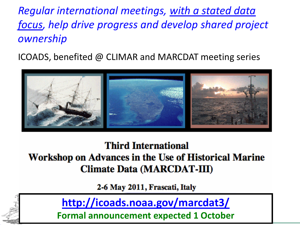*Regular international meetings, with a stated data focus, help drive progress and develop shared project ownership*

ICOADS, benefited @ CLIMAR and MARCDAT meeting series



**Third International** Workshop on Advances in the Use of Historical Marine **Climate Data (MARCDAT-III)** 

2-6 May 2011, Frascati, Italy



**<http://icoads.noaa.gov/marcdat3/>**

**Formal announcement expected 1 October**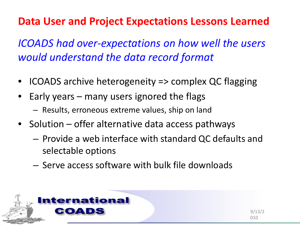## **Data User and Project Expectations Lessons Learned**

*ICOADS had over-expectations on how well the users would understand the data record format* 

- ICOADS archive heterogeneity => complex QC flagging
- Early years many users ignored the flags
	- Results, erroneous extreme values, ship on land
- Solution offer alternative data access pathways
	- Provide a web interface with standard QC defaults and selectable options
	- Serve access software with bulk file downloads

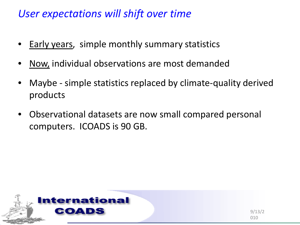#### *User expectations will shift over time*

- Early years, simple monthly summary statistics
- Now, individual observations are most demanded
- Maybe simple statistics replaced by climate-quality derived products
- Observational datasets are now small compared personal computers. ICOADS is 90 GB.

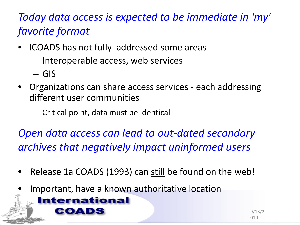## *Today data access is expected to be immediate in 'my' favorite format*

- ICOADS has not fully addressed some areas
	- Interoperable access, web services
	- GIS
- Organizations can share access services each addressing different user communities
	- Critical point, data must be identical

*Open data access can lead to out-dated secondary archives that negatively impact uninformed users*

- Release 1a COADS (1993) can still be found on the web!
- Important, have a known authoritative location



9/13/2 010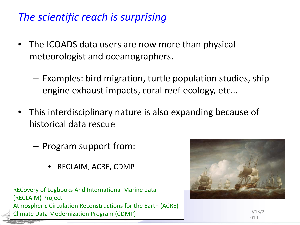### *The scientific reach is surprising*

- The ICOADS data users are now more than physical meteorologist and oceanographers.
	- Examples: bird migration, turtle population studies, ship engine exhaust impacts, coral reef ecology, etc…
- This interdisciplinary nature is also expanding because of historical data rescue
	- Program support from:
		- RECLAIM, ACRE, CDMP

RECovery of Logbooks And International Marine data (RECLAIM) Project Atmospheric Circulation Reconstructions for the Earth (ACRE) Climate Data Modernization Program (CDMP)



9/13/2 010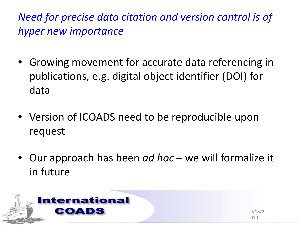*Need for precise data citation and version control is of hyper new importance*

- Growing movement for accurate data referencing in publications, e.g. digital object identifier (DOI) for data
- Version of ICOADS need to be reproducible upon request
- Our approach has been *ad hoc*  we will formalize it in future

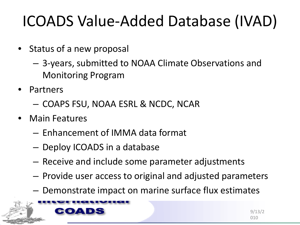## ICOADS Value-Added Database (IVAD)

- Status of a new proposal
	- 3-years, submitted to NOAA Climate Observations and Monitoring Program
- Partners
	- COAPS FSU, NOAA ESRL & NCDC, NCAR
- Main Features
	- Enhancement of IMMA data format
	- Deploy ICOADS in a database
	- Receive and include some parameter adjustments
	- Provide user access to original and adjusted parameters
	- Demonstrate impact on marine surface flux estimates



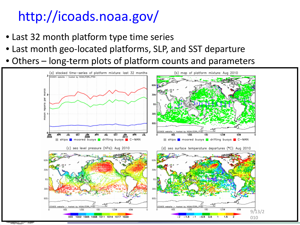## http://icoads.noaa.gov/

- Last 32 month platform type time series
- Last month geo-located platforms, SLP, and SST departure
- Others long-term plots of platform counts and parameters